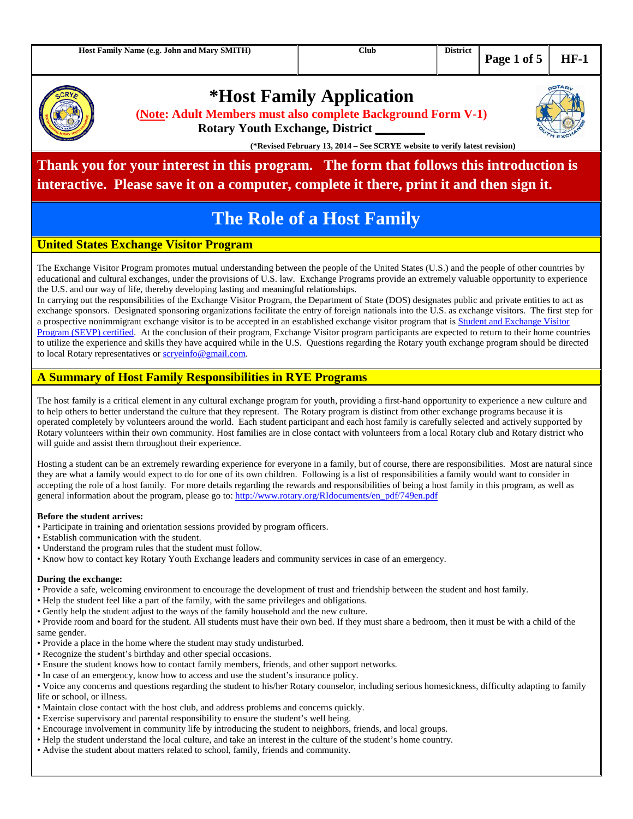

# **\*Host Family Application**

**(Note: Adult Members must also complete Background Form V-1)**

**Rotary Youth Exchange, District \_\_\_\_\_\_\_\_**

**(\*Revised February 13, 2014 – See SCRYE website to verify latest revision)**

## **Thank you for your interest in this program. The form that follows this introduction is interactive. Please save it on a computer, complete it there, print it and then sign it.**

# **The Role of a Host Family**

### **United States Exchange Visitor Program**

The Exchange Visitor Program promotes mutual understanding between the people of the United States (U.S.) and the people of other countries by educational and cultural exchanges, under the provisions of U.S. law. Exchange Programs provide an extremely valuable opportunity to experience the U.S. and our way of life, thereby developing lasting and meaningful relationships.

In carrying out the responsibilities of the Exchange Visitor Program, the Department of State (DOS) designates public and private entities to act as exchange sponsors. Designated sponsoring organizations facilitate the entry of foreign nationals into the U.S. as exchange visitors. The first step for a prospective nonimmigrant exchange visitor is to be accepted in an established exchange visitor program that is Student and Exchange Visitor Program (SEVP) certified. At the conclusion of their program, Exchange Visitor program participants are expected to return to their home countries to utilize the experience and skills they have acquired while in the U.S. Questions regarding the Rotary youth exchange program should be directed to local Rotary representatives or scryeinfo@gmail.com.

### **A Summary of Host Family Responsibilities in RYE Programs**

The host family is a critical element in any cultural exchange program for youth, providing a first-hand opportunity to experience a new culture and to help others to better understand the culture that they represent. The Rotary program is distinct from other exchange programs because it is operated completely by volunteers around the world. Each student participant and each host family is carefully selected and actively supported by Rotary volunteers within their own community. Host families are in close contact with volunteers from a local Rotary club and Rotary district who will guide and assist them throughout their experience.

Hosting a student can be an extremely rewarding experience for everyone in a family, but of course, there are responsibilities. Most are natural since they are what a family would expect to do for one of its own children. Following is a list of responsibilities a family would want to consider in accepting the role of a host family. For more details regarding the rewards and responsibilities of being a host family in this program, as well as general information about the program, please go to: http://www.rotary.org/RIdocuments/en\_pdf/749en.pdf

#### **Before the student arrives:**

- Participate in training and orientation sessions provided by program officers.
- Establish communication with the student.
- Understand the program rules that the student must follow.
- Know how to contact key Rotary Youth Exchange leaders and community services in case of an emergency.

#### **During the exchange:**

- Provide a safe, welcoming environment to encourage the development of trust and friendship between the student and host family.
- Help the student feel like a part of the family, with the same privileges and obligations.
- Gently help the student adjust to the ways of the family household and the new culture.

• Provide room and board for the student. All students must have their own bed. If they must share a bedroom, then it must be with a child of the same gender.

- Provide a place in the home where the student may study undisturbed.
- Recognize the student's birthday and other special occasions.
- Ensure the student knows how to contact family members, friends, and other support networks.
- In case of an emergency, know how to access and use the student's insurance policy.
- Voice any concerns and questions regarding the student to his/her Rotary counselor, including serious homesickness, difficulty adapting to family life or school, or illness.
- Maintain close contact with the host club, and address problems and concerns quickly.
- Exercise supervisory and parental responsibility to ensure the student's well being.
- Encourage involvement in community life by introducing the student to neighbors, friends, and local groups.
- Help the student understand the local culture, and take an interest in the culture of the student's home country.
- Advise the student about matters related to school, family, friends and community.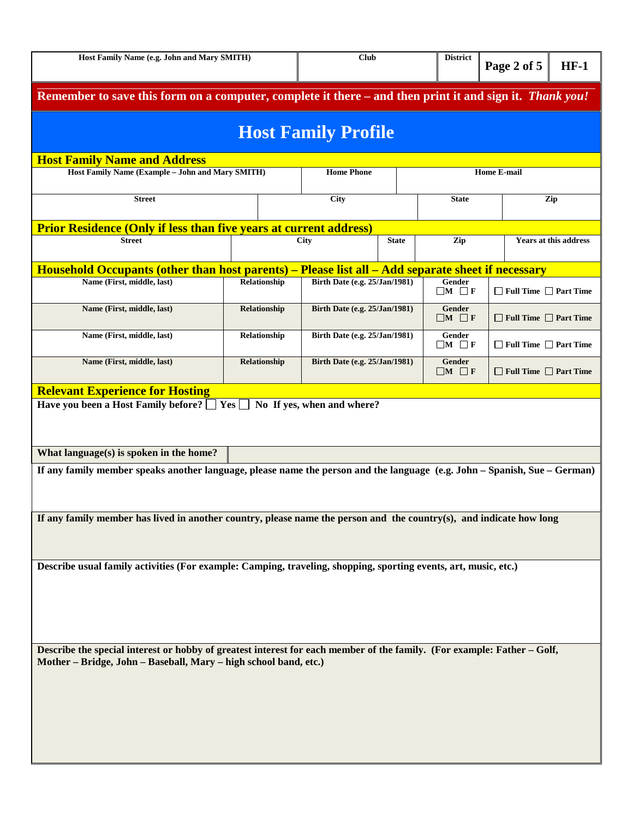| Host Family Name (e.g. John and Mary SMITH)                                                                                                                                                 | <b>Club</b>  |                                      | <b>District</b>                      | Page 2 of 5                 | $HF-1$                            |     |  |  |  |  |
|---------------------------------------------------------------------------------------------------------------------------------------------------------------------------------------------|--------------|--------------------------------------|--------------------------------------|-----------------------------|-----------------------------------|-----|--|--|--|--|
| Remember to save this form on a computer, complete it there – and then print it and sign it. Thank you!                                                                                     |              |                                      |                                      |                             |                                   |     |  |  |  |  |
| <b>Host Family Profile</b>                                                                                                                                                                  |              |                                      |                                      |                             |                                   |     |  |  |  |  |
| <b>Host Family Name and Address</b>                                                                                                                                                         |              |                                      |                                      |                             |                                   |     |  |  |  |  |
| Host Family Name (Example - John and Mary SMITH)                                                                                                                                            |              | <b>Home Phone</b>                    |                                      |                             | <b>Home E-mail</b>                |     |  |  |  |  |
| <b>Street</b>                                                                                                                                                                               |              |                                      |                                      | <b>State</b>                |                                   | Zip |  |  |  |  |
| <b>Prior Residence (Only if less than five years at current address)</b>                                                                                                                    |              |                                      |                                      | Zip                         |                                   |     |  |  |  |  |
| <b>Street</b>                                                                                                                                                                               |              | <b>City</b>                          | <b>State</b>                         |                             | <b>Years at this address</b>      |     |  |  |  |  |
| Household Occupants (other than host parents) – Please list all – Add separate sheet if necessary                                                                                           |              |                                      |                                      |                             |                                   |     |  |  |  |  |
| Name (First, middle, last)                                                                                                                                                                  | Relationship | Birth Date (e.g. 25/Jan/1981)        |                                      | Gender<br>$\Box M$ $\Box F$ | $\Box$ Full Time $\Box$ Part Time |     |  |  |  |  |
| Name (First, middle, last)                                                                                                                                                                  | Relationship |                                      | <b>Birth Date (e.g. 25/Jan/1981)</b> |                             | $\Box$ Full Time $\Box$ Part Time |     |  |  |  |  |
| Name (First, middle, last)                                                                                                                                                                  | Relationship |                                      | Birth Date (e.g. 25/Jan/1981)        |                             | $\Box$ Full Time $\Box$ Part Time |     |  |  |  |  |
| Name (First, middle, last)                                                                                                                                                                  | Relationship | <b>Birth Date (e.g. 25/Jan/1981)</b> |                                      | Gender<br>$\Box M \Box F$   | $\Box$ Full Time $\Box$ Part Time |     |  |  |  |  |
| What language(s) is spoken in the home?<br>If any family member speaks another language, please name the person and the language (e.g. John - Spanish, Sue - German)                        |              |                                      |                                      |                             |                                   |     |  |  |  |  |
| If any family member has lived in another country, please name the person and the country(s), and indicate how long                                                                         |              |                                      |                                      |                             |                                   |     |  |  |  |  |
| Describe usual family activities (For example: Camping, traveling, shopping, sporting events, art, music, etc.)                                                                             |              |                                      |                                      |                             |                                   |     |  |  |  |  |
| Describe the special interest or hobby of greatest interest for each member of the family. (For example: Father - Golf,<br>Mother - Bridge, John - Baseball, Mary - high school band, etc.) |              |                                      |                                      |                             |                                   |     |  |  |  |  |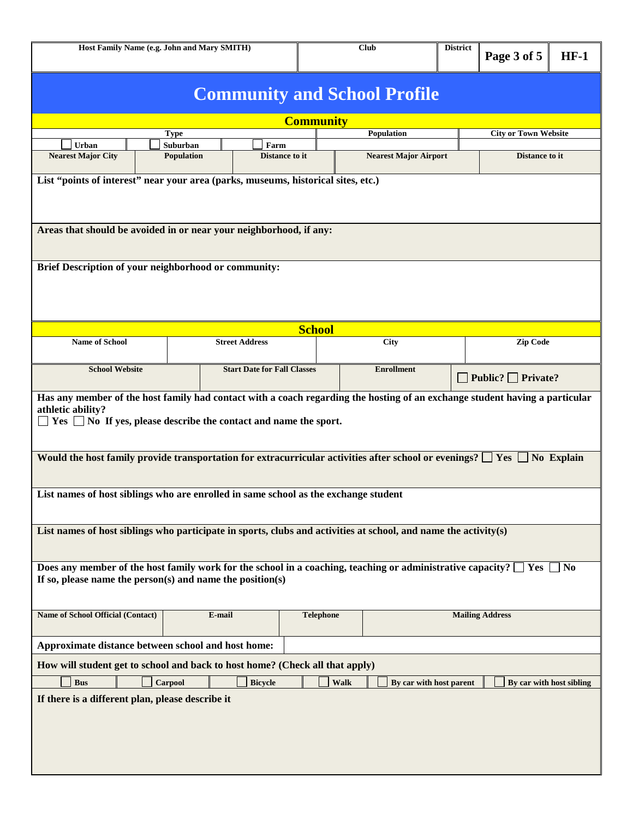| Host Family Name (e.g. John and Mary SMITH)                                                                                                                                                                                                                                                                                                                   |                                                                                   |         |                                    | Club          |                        |                         | <b>District</b><br>Page 3 of 5 | $HF-1$                         |                          |  |  |
|---------------------------------------------------------------------------------------------------------------------------------------------------------------------------------------------------------------------------------------------------------------------------------------------------------------------------------------------------------------|-----------------------------------------------------------------------------------|---------|------------------------------------|---------------|------------------------|-------------------------|--------------------------------|--------------------------------|--------------------------|--|--|
| <b>Community and School Profile</b>                                                                                                                                                                                                                                                                                                                           |                                                                                   |         |                                    |               |                        |                         |                                |                                |                          |  |  |
| <b>Community</b>                                                                                                                                                                                                                                                                                                                                              |                                                                                   |         |                                    |               |                        |                         |                                |                                |                          |  |  |
|                                                                                                                                                                                                                                                                                                                                                               |                                                                                   | Type    |                                    |               |                        | <b>Population</b>       |                                | <b>City or Town Website</b>    |                          |  |  |
| Urban<br>Suburban<br>Farm<br><b>Nearest Major City</b><br>Distance to it<br><b>Population</b><br><b>Nearest Major Airport</b><br>Distance to it                                                                                                                                                                                                               |                                                                                   |         |                                    |               |                        |                         |                                |                                |                          |  |  |
|                                                                                                                                                                                                                                                                                                                                                               | List "points of interest" near your area (parks, museums, historical sites, etc.) |         |                                    |               |                        |                         |                                |                                |                          |  |  |
|                                                                                                                                                                                                                                                                                                                                                               | Areas that should be avoided in or near your neighborhood, if any:                |         |                                    |               |                        |                         |                                |                                |                          |  |  |
|                                                                                                                                                                                                                                                                                                                                                               | Brief Description of your neighborhood or community:                              |         |                                    |               |                        |                         |                                |                                |                          |  |  |
|                                                                                                                                                                                                                                                                                                                                                               |                                                                                   |         |                                    | <b>School</b> |                        |                         |                                |                                |                          |  |  |
| <b>Name of School</b>                                                                                                                                                                                                                                                                                                                                         |                                                                                   |         | <b>Street Address</b>              |               |                        | <b>City</b>             |                                | Zip Code                       |                          |  |  |
| <b>School Website</b>                                                                                                                                                                                                                                                                                                                                         |                                                                                   |         | <b>Start Date for Fall Classes</b> |               |                        | <b>Enrollment</b>       |                                | $\Box$ Public? $\Box$ Private? |                          |  |  |
| Has any member of the host family had contact with a coach regarding the hosting of an exchange student having a particular<br>athletic ability?<br>$Yes \tN$ No If yes, please describe the contact and name the sport.<br>Would the host family provide transportation for extracurricular activities after school or evenings? $\square$ Yes<br>No Explain |                                                                                   |         |                                    |               |                        |                         |                                |                                |                          |  |  |
| List names of host siblings who are enrolled in same school as the exchange student                                                                                                                                                                                                                                                                           |                                                                                   |         |                                    |               |                        |                         |                                |                                |                          |  |  |
| List names of host siblings who participate in sports, clubs and activities at school, and name the activity(s)                                                                                                                                                                                                                                               |                                                                                   |         |                                    |               |                        |                         |                                |                                |                          |  |  |
| Does any member of the host family work for the school in a coaching, teaching or administrative capacity? $\Box$ Yes<br>$\blacksquare$ No<br>If so, please name the person(s) and name the position(s)                                                                                                                                                       |                                                                                   |         |                                    |               |                        |                         |                                |                                |                          |  |  |
| <b>Name of School Official (Contact)</b><br>E-mail                                                                                                                                                                                                                                                                                                            |                                                                                   |         | <b>Telephone</b>                   |               | <b>Mailing Address</b> |                         |                                |                                |                          |  |  |
| Approximate distance between school and host home:                                                                                                                                                                                                                                                                                                            |                                                                                   |         |                                    |               |                        |                         |                                |                                |                          |  |  |
| How will student get to school and back to host home? (Check all that apply)                                                                                                                                                                                                                                                                                  |                                                                                   |         |                                    |               |                        |                         |                                |                                |                          |  |  |
| <b>Bus</b>                                                                                                                                                                                                                                                                                                                                                    |                                                                                   | Carpool | <b>Bicycle</b>                     |               | Walk                   | By car with host parent |                                |                                | By car with host sibling |  |  |
| If there is a different plan, please describe it                                                                                                                                                                                                                                                                                                              |                                                                                   |         |                                    |               |                        |                         |                                |                                |                          |  |  |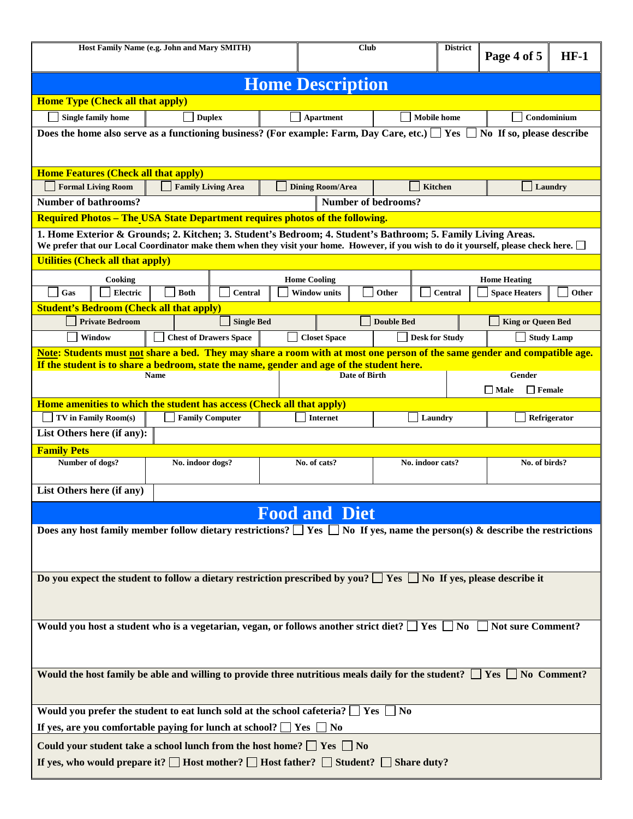| Host Family Name (e.g. John and Mary SMITH)                                                                                          |                           |                               | <b>Club</b> |                         | <b>District</b> | Page 4 of 5                | $HF-1$         |                              |                   |
|--------------------------------------------------------------------------------------------------------------------------------------|---------------------------|-------------------------------|-------------|-------------------------|-----------------|----------------------------|----------------|------------------------------|-------------------|
| <b>Home Description</b>                                                                                                              |                           |                               |             |                         |                 |                            |                |                              |                   |
| <b>Home Type (Check all that apply)</b>                                                                                              |                           |                               |             |                         |                 |                            |                |                              |                   |
| <b>Single family home</b><br><b>Duplex</b><br><b>Apartment</b>                                                                       |                           |                               |             | <b>Mobile</b> home      |                 |                            | Condominium    |                              |                   |
| Does the home also serve as a functioning business? (For example: Farm, Day Care, etc.) $\Box$ Yes                                   |                           |                               |             |                         |                 |                            |                | No If so, please describe    |                   |
|                                                                                                                                      |                           |                               |             |                         |                 |                            |                |                              |                   |
| <b>Home Features (Check all that apply)</b>                                                                                          |                           |                               |             |                         |                 |                            |                |                              |                   |
| <b>Formal Living Room</b><br><b>Number of bathrooms?</b>                                                                             |                           | <b>Family Living Area</b>     |             | <b>Dining Room/Area</b> |                 | <b>Number of bedrooms?</b> | <b>Kitchen</b> |                              | Laundry           |
| <b>Required Photos – The USA State Department requires photos of the following.</b>                                                  |                           |                               |             |                         |                 |                            |                |                              |                   |
| 1. Home Exterior & Grounds; 2. Kitchen; 3. Student's Bedroom; 4. Student's Bathroom; 5. Family Living Areas.                         |                           |                               |             |                         |                 |                            |                |                              |                   |
| We prefer that our Local Coordinator make them when they visit your home. However, if you wish to do it yourself, please check here. |                           |                               |             |                         |                 |                            |                |                              |                   |
| <b>Utilities (Check all that apply)</b>                                                                                              |                           |                               |             |                         |                 |                            |                |                              |                   |
| Cooking                                                                                                                              |                           |                               |             | <b>Home Cooling</b>     |                 |                            |                | <b>Home Heating</b>          |                   |
| Gas<br>Electric                                                                                                                      | <b>Both</b>               | <b>Central</b>                |             | <b>Window units</b>     |                 | Other                      | <b>Central</b> | <b>Space Heaters</b>         | Other             |
| <b>Student's Bedroom (Check all that apply)</b>                                                                                      |                           |                               |             |                         |                 |                            |                |                              |                   |
| <b>Private Bedroom</b>                                                                                                               |                           | <b>Single Bed</b>             |             |                         |                 | <b>Double Bed</b>          |                | <b>King or Queen Bed</b>     |                   |
| Window                                                                                                                               |                           | <b>Chest of Drawers Space</b> |             | <b>Closet Space</b>     |                 | <b>Desk for Study</b>      |                |                              | <b>Study Lamp</b> |
| Note: Students must not share a bed. They may share a room with at most one person of the same gender and compatible age.            |                           |                               |             |                         |                 |                            |                |                              |                   |
| If the student is to share a bedroom, state the name, gender and age of the student here.                                            | <b>Name</b>               |                               |             |                         | Date of Birth   |                            |                | Gender                       |                   |
|                                                                                                                                      |                           |                               |             |                         |                 |                            |                | $\Box$ Male<br>$\Box$ Female |                   |
| Home amenities to which the student has access (Check all that apply)                                                                |                           |                               |             |                         |                 |                            |                |                              |                   |
| TV in Family Room(s)                                                                                                                 |                           | <b>Family Computer</b>        |             | <b>Internet</b>         |                 | Laundry                    |                |                              | Refrigerator      |
| List Others here (if any):                                                                                                           |                           |                               |             |                         |                 |                            |                |                              |                   |
| <b>Family Pets</b>                                                                                                                   |                           |                               |             |                         |                 |                            |                |                              |                   |
| Number of dogs?                                                                                                                      | No. indoor dogs?          | No. of cats?                  |             | No. indoor cats?        |                 | No. of birds?              |                |                              |                   |
|                                                                                                                                      | List Others here (if any) |                               |             |                         |                 |                            |                |                              |                   |
|                                                                                                                                      |                           |                               |             | <b>Food and Diet</b>    |                 |                            |                |                              |                   |
| Does any host family member follow dietary restrictions? $\Box$ Yes $\Box$ No If yes, name the person(s) & describe the restrictions |                           |                               |             |                         |                 |                            |                |                              |                   |
|                                                                                                                                      |                           |                               |             |                         |                 |                            |                |                              |                   |
|                                                                                                                                      |                           |                               |             |                         |                 |                            |                |                              |                   |
|                                                                                                                                      |                           |                               |             |                         |                 |                            |                |                              |                   |
| Do you expect the student to follow a dietary restriction prescribed by you? $\Box$ Yes $\Box$ No If yes, please describe it         |                           |                               |             |                         |                 |                            |                |                              |                   |
|                                                                                                                                      |                           |                               |             |                         |                 |                            |                |                              |                   |
| Would you host a student who is a vegetarian, vegan, or follows another strict diet? $\Box$ Yes $\Box$ No $\Box$ Not sure Comment?   |                           |                               |             |                         |                 |                            |                |                              |                   |
|                                                                                                                                      |                           |                               |             |                         |                 |                            |                |                              |                   |
|                                                                                                                                      |                           |                               |             |                         |                 |                            |                |                              |                   |
|                                                                                                                                      |                           |                               |             |                         |                 |                            |                |                              |                   |
| Would the host family be able and willing to provide three nutritious meals daily for the student? $\Box$ Yes $\Box$ No Comment?     |                           |                               |             |                         |                 |                            |                |                              |                   |
|                                                                                                                                      |                           |                               |             |                         |                 |                            |                |                              |                   |
| Would you prefer the student to eat lunch sold at the school cafeteria? $\Box$ Yes $\Box$ No                                         |                           |                               |             |                         |                 |                            |                |                              |                   |
| If yes, are you comfortable paying for lunch at school? $\Box$ Yes $\Box$ No                                                         |                           |                               |             |                         |                 |                            |                |                              |                   |
| Could your student take a school lunch from the host home? $\Box$ Yes $\Box$ No                                                      |                           |                               |             |                         |                 |                            |                |                              |                   |
| If yes, who would prepare it? $\Box$ Host mother? $\Box$ Host father? $\Box$ Student? $\Box$ Share duty?                             |                           |                               |             |                         |                 |                            |                |                              |                   |